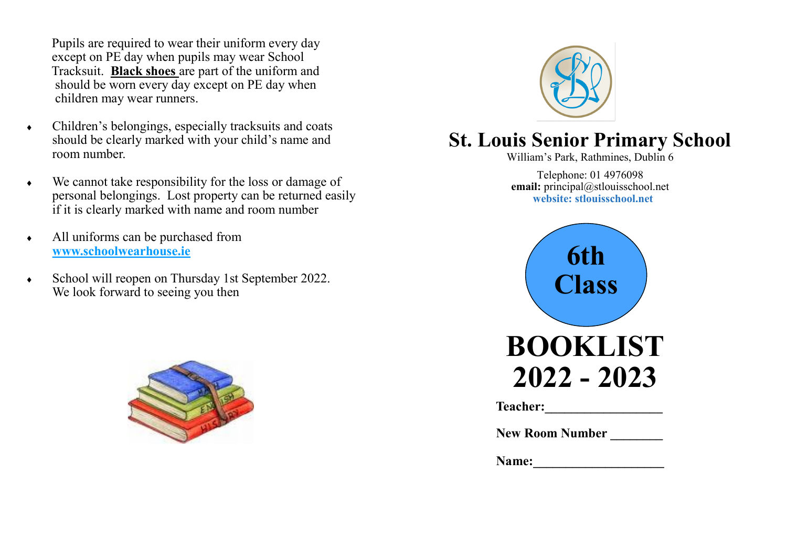Pupils are required to wear their uniform every day except on PE day when pupils may wear School Tracksuit. **Black shoes** are part of the uniform and should be worn every day except on PE day when children may wear runners.

- Children's belongings, especially tracksuits and coats should be clearly marked with your child's name and room number.
- We cannot take responsibility for the loss or damage of personal belongings. Lost property can be returned easily if it is clearly marked with name and room number
- All uniforms can be purchased from **www.schoolwearhouse.ie**
- School will reopen on Thursday 1st September 2022. We look forward to seeing you then





# **St. Louis Senior Primary School**

William's Park, Rathmines, Dublin 6

Telephone: 01 4976098 **email:** principal@stlouisschool.net **website: stlouisschool.net**



| Teacher: |  |  |
|----------|--|--|
|          |  |  |

| <b>New Room Number</b> |  |
|------------------------|--|
|                        |  |

Name: